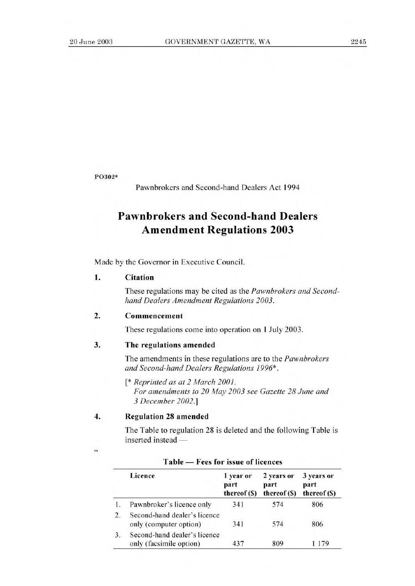#### **P0302\***

Pawnbrokers and Second-hand Dealers Act 1994

# **Pawnbrokers and Second-hand Dealers Amendment Regulations 2003**

Made by the Governor in Executive Council.

### **1. Citation**

 $44$ 

These regulations may be cited as the *Pawnbrokers and Secondhand Dealers Amendment Regulations 2003.* 

### **2. Commencement**

These regulations come into operation on **1** July 2003.

### **3. The regulations amended**

The amendments in these regulations are to the *Pawnbrokers and Second-hand Dealers Regulations 1996\*.* 

- *[\* Reprinted as at 2 March 2001.* 
	- *For amendments to 20 May 2003 see Gazette 28 June and 3 December 2002.]*

4. Regulation 28 **amended** 

The Table to regulation 28 is deleted and the following Table is inserted instead —

|    | Licence                                                 | 1 year or<br>part<br>thereof (\$) | 2 years or<br>part<br>thereof (\$) | 3 years or<br>part<br>thereof (\$) |
|----|---------------------------------------------------------|-----------------------------------|------------------------------------|------------------------------------|
|    | Pawnbroker's licence only                               | 341                               | 574                                | 806                                |
| 2. | Second-hand dealer's licence<br>only (computer option)  | 341                               | 574                                | 806                                |
| 3. | Second-hand dealer's licence<br>only (facsimile option) | 437                               | 809                                | 179                                |

### **Table — Fees for issue of licences**